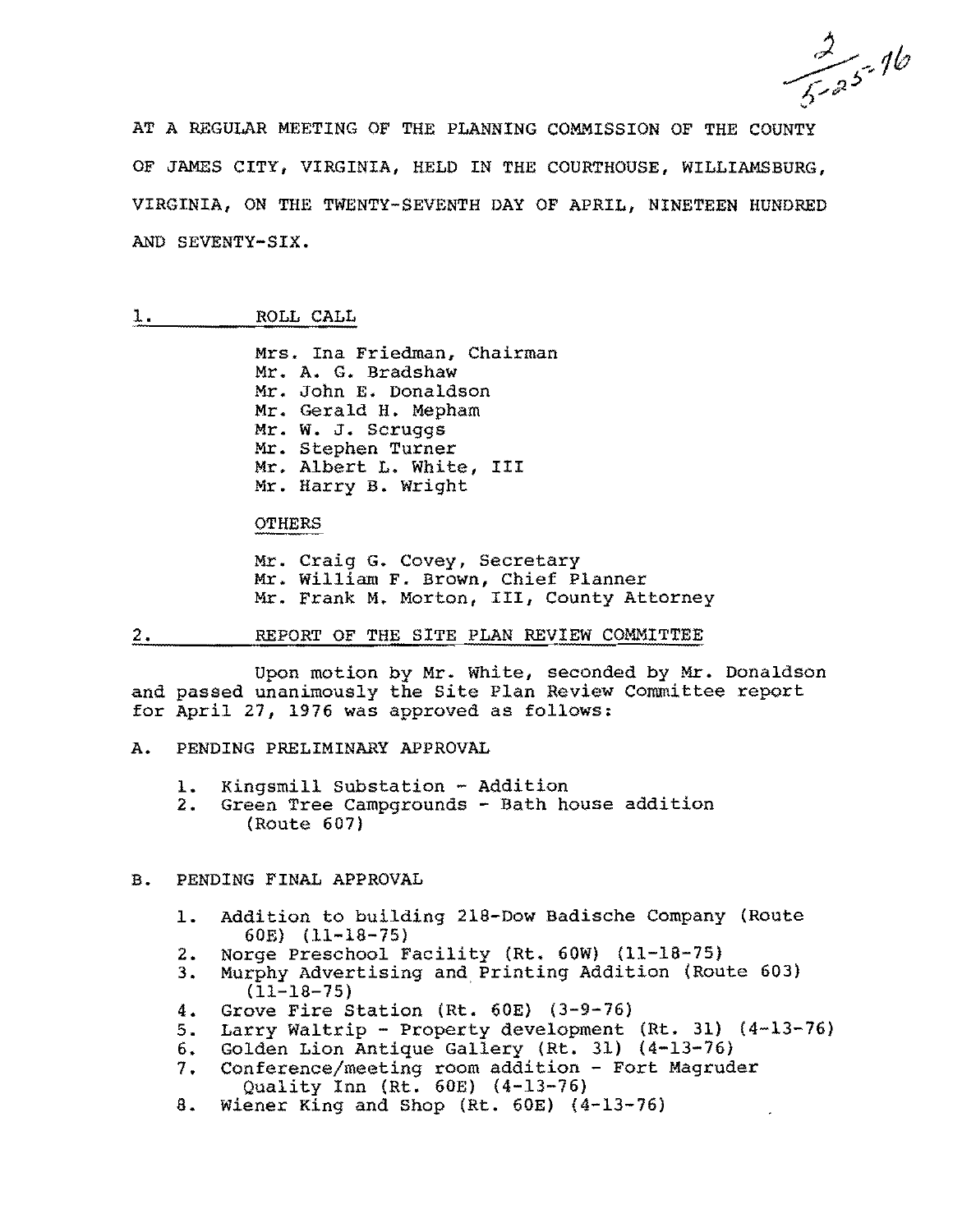$\frac{2}{5-25}$ -16

AT A REGULAR MEETING OF THE PLANNING COMMISSION OF THE COUNTY OF JAMES CITY, VIRGINIA, HELD IN THE COURTHOUSE, WILLIAMSBURG, VIRGINIA, ON THE TWENTY-SEVENTH DAY OF APRIL, NINETEEN HUNDRED AND SEVENTY-SIX.

## 1. ROLL CALL

Mrs. Ina Friedman, Chairman Mr. A. G. Bradshaw Mr. John E. Donaldson Mr. Gerald H. Mepham Mr. W. J. Scruggs Mr. Stephen Turner Mr. Albert L. White, III Mr. Harry B. Wright

#### OTHERS

Mr. Craig G. Covey, Secretary Mr. William F. Brown, Chief Planner Mr. Frank M. Morton, III, County Attorney

2. REPORT OF THE SITE PLAN REVIEW COMMITTEE

Upon motion by Mr. White, seconded by Mr. Donaldson and passed unanimously the Site Plan Review Committee report for April 27, 1976 was approved as follows:

- A. PENDING PRELIMINARY APPROVAL
	- 1. Kingsmill Substation Addition<br>2. Green Tree Campgrounds Bath ho
	- Green Tree Campgrounds Bath house addition (Route 607)

## B. PENDING FINAL APPROVAL

- 1. Addition to building 218-Dow Badische Company (Route 60E) (11-18-75)
- 2. Norge Preschool Facility (Rt. 60W) (11-18-75)
- 3. Murphy Advertising and Printing Addition (Route 603) (11-18-75)
- 4. Grove Fire Station (Rt. 60E) (3-9-76)
- 5. Larry Waltrip Property development (Rt. 31) (4-13-76)
- 6. Golden Lion Antique Gallery (Rt. 31) (4-13-76)
- 7. Conference/meeting room addition Fort Magruder Quality Inn (Rt. 60E) (4-13-76)
- 8. Wiener King and Shop (Rt. 60E) (4-13-76)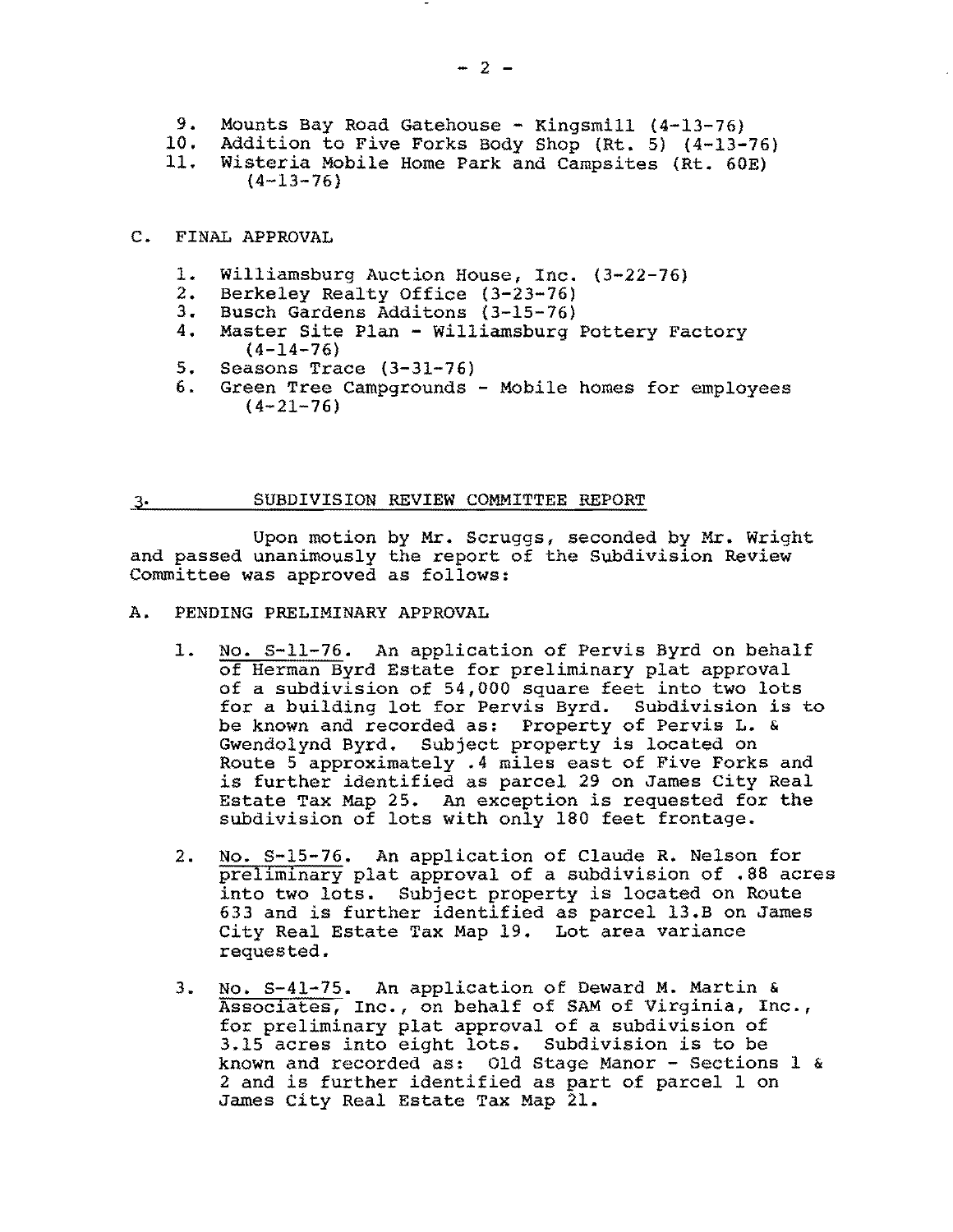- 9. Mounts Bay Road Gatehouse Kingsmill (4-13-76)
- 10. Addition to Five Forks Body Shop (Rt. 5) (4-13-76)
- 11. Wisteria Mobile Home Park and Campsites (Rt. 60E)  $(4-13-76)$
- C. FINAL APPROVAL
	- 1. Williamsburg Auction House, Inc. (3-22-76)
	- 2. Berkeley Realty Office (3-23-76)
	- 3. Busch Gardens Additons (3-15-76)<br>4. Master Site Plan Williamsburg
	- Master Site Plan Williamsburg Pottery Factory  $(4-14-76)$
	- 5. Seasons Trace (3-31-76)
	- 6. Green Tree Campgrounds Mobile homes for employees  $(4-21-76)$

## 3. SUBDIVISION REVIEW COMMITTEE REPORT

Upon motion by Mr. Scruggs, seconded by Mr. Wright and passed unanimously the report of the Subdivision Review Committee was approved as follows:

- A. PENDING PRELIMINARY APPROVAL
	- 1. No. 5-11-76. An application of Pervis Byrd on behalf of Herman Byrd Estate for preliminary plat approval of a subdivision of 54,000 square feet into two lots for a building lot for Pervis Byrd. Subdivision is to be known and recorded as: Property of Pervis L. & Gwendolynd Byrd. Subject property is located on Route 5 approximately .4 miles east of Five Forks and is further identified as parcel 29 on James City Real Estate Tax Map 25. An exception is requested for the subdivision of lots with only 180 feet frontage.
	- 2. No. S-15-76. An application of Claude R. Nelson for preliminary plat approval of a subdivision of .88 acres into two lots. Subject property is located on Route 633 and is further identified as parcel 13.B on James City Real Estate Tax Map 19. Lot area variance requested.
	- 3. No. S-41-75. An application of Deward M. Martin & Associates, Inc., on behalf of SAM of Virginia, Inc., for preliminary plat approval of a subdivision of 3.15 acres into eight lots. Subdivision is to be known and recorded as: Old Stage Manor - Sections 1 & 2 and is further identified as part of parcel 1 on James City Real Estate Tax Map 21.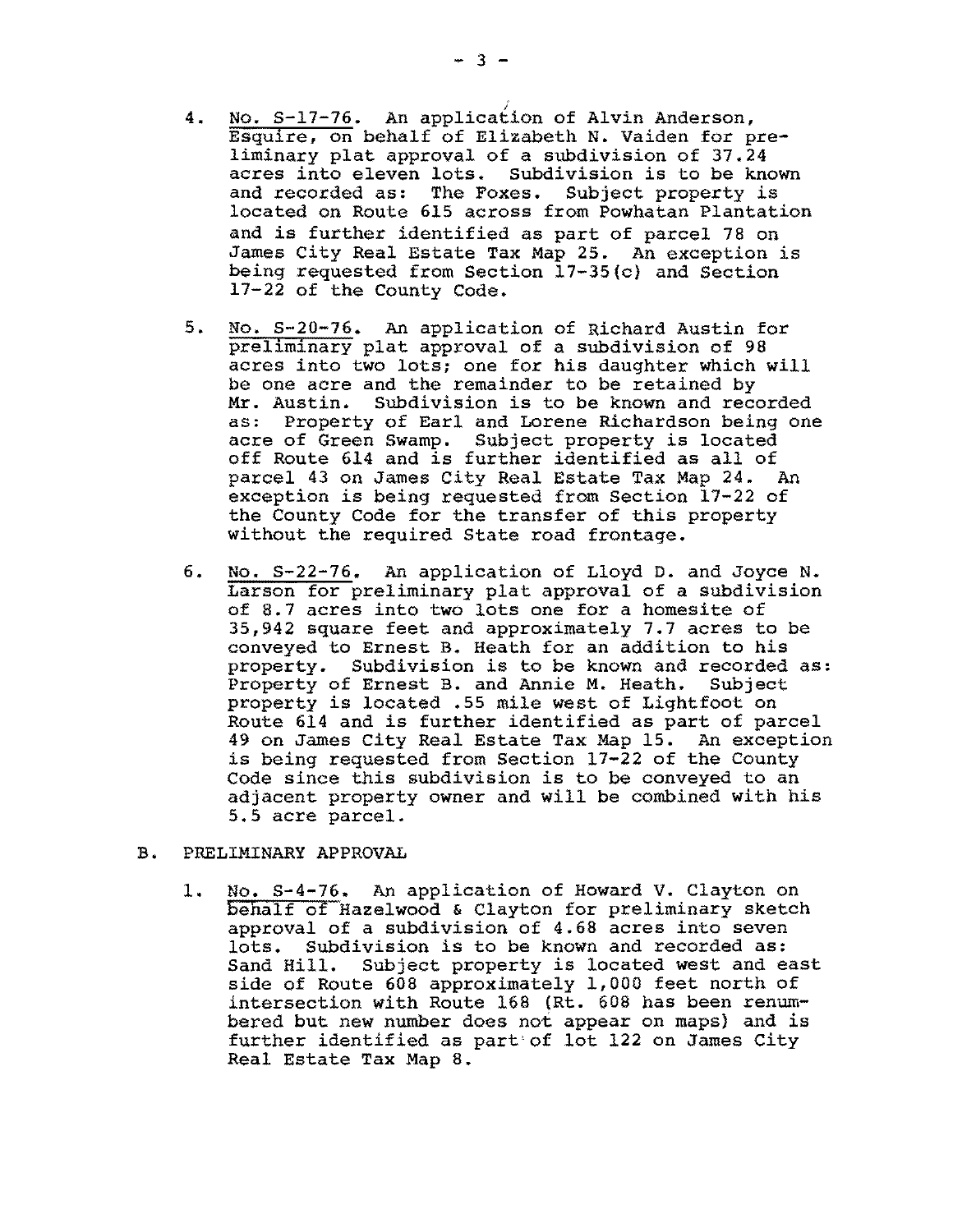- 4. No. S-17-76. An application of Alvin Anderson, Esquire, on behalf of Elizabeth N. Vaiden for preliminary plat approval of a subdivision of 37.24 acres into eleven lots. Subdivision is to be known and recorded as: The Foxes. Subject property is located on Route 615 across from Powhatan Plantation and is further identified as part of parcel 78 on James City Real Estate Tax Map 25. An exception is being requested from Section 17-35(c) and Section 17-22 of the County Code.
- 5. No. S-20-76. An application of Richard Austin for preliminary plat approval of a subdivision of 98 acres into two lots; one for his daughter which will be one acre and the remainder to be retained by Mr. Austin. Subdivision is to be known and recorded as; Property of Earl and Lorene Richardson being one acre of Green Swamp. Subject property is located off Route 614 and is further identified as all of parcel 43 on James City Real Estate Tax Map 24. An exception is being requested from Section 17-22 of the County Code for the transfer of this property without the required State road frontage.
- 6. No. S-22-76. An application of Lloyd D. and Joyce N. Larson for preliminary plat approval of a subdivision of 8.7 acres into two lots one for a homesite of 35,942 square feet and approximately 7.7 acres to be conveyed to Ernest B. Heath for an addition to his property. Subdivision is to be known and recorded as:<br>Property of Ernest B. and Annie M. Heath. Subject Property of Ernest B. and Annie M. Heath. property is located .55 mile west of Lightfoot on Route 614 and is further identified as part of parcel 49 on James City Real Estate Tax Map 15. An exception is being requested from Section 17-22 of the County Code since this subdivision is to be conveyed to an adjacent property owner and will be combined with his 5.5 acre parcel.

#### B. PRELIMINARY APPROVAL

1. No. S-4-76. An application of Howard V. Clayton on behalf of Hazelwood & Clayton for preliminary sketch approval of a subdivision of 4.68 acres into seven lots. Subdivision is to be known and recorded as: Sand Hill. Subject property is located west and east side of Route 608 approximately 1,000 feet north of intersection with Route 168 (Rt. 608 has been renumbered but new number does not appear on maps) and is further identified as part of lot 122 on James City Real Estate Tax Map 8.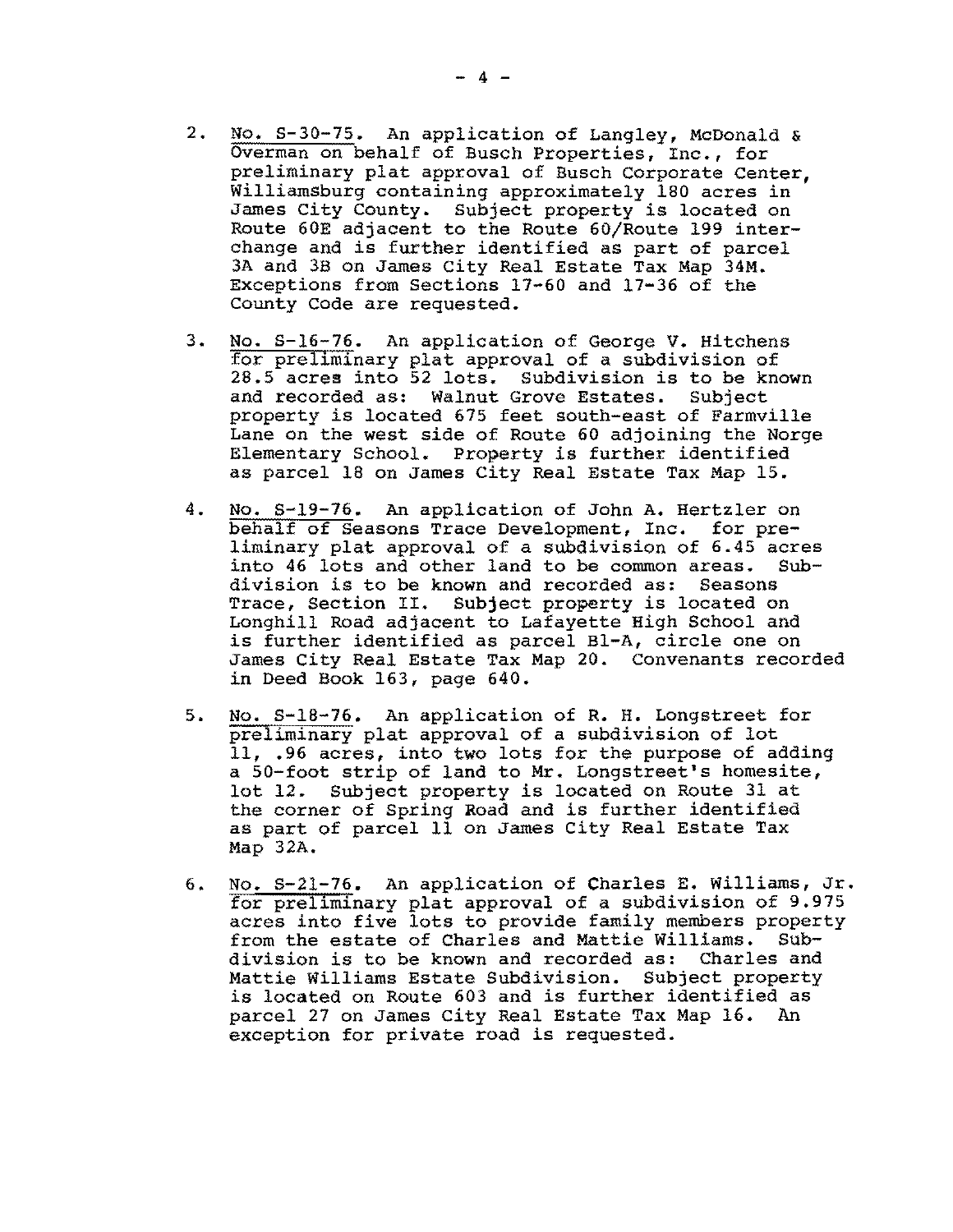- 2. No. S-30-75. An application of Langley, McDonald & OVerman on behalf of Busch Properties, Inc., for preliminary plat approval of Busch Corporate Center, Williamsburg containing approximately 180 acres in James City County. Subject property is located on Route 60E adjacent to the Route 60/Route 199 interchange and is further identified as part of parcel 3A and 3B on James City Real Estate Tax Map 34M. Exceptions from Sections 17-60 and 17-36 of the County Code are requested.
- 3. No. S-16-76. An application of George V. Hitchens for preliminary plat approval of a subdivision of 28.5 acres into 52 lots. Subdivision is to be known and recorded as: Walnut Grove Estates. Subject property is located 675 feet south-east of Farmville Lane on the west side of Route 60 adjoining the Norge Elementary School. Property is further identified as parcel 18 on James City Real Estate Tax Map 15.
- **4.**  No. S-19-76. An application of John A. Hertzler on behalf of Seasons Trace Development, Inc. for preliminary plat approval of a subdivision of 6.45 acres into 46 lots and other land to be common areas. division is to be known and recorded as: Seasons Trace, Section II. Subject property is located on Longhill Road adjacent to Lafayette High School and is further identified as parcel Bl-A, circle one on James City Real Estate Tax Map 20. Convenants recorded in Deed Book 163, page 640.
- 5. No. S-18-76. An application of R. H. Longstreet for preliminary plat approval of a subdivision of lot 11, .96 acres, into two lots for the purpose of adding a 50-foot strip of land to Mr. Longstreet's homesite, lot 12. Subject property is located on Route 31 at the corner of Spring Road and is further identified as part of parcel lIon James City Real Estate Tax Map 32A.
- 6. No. S-2l-76. An application of Charles E. Williams, Jr. for preliminary plat approval of a subdivision of 9.975 acres into five lots to provide family members property<br>from the estate of Charles and Mattie Williams. Subfrom the estate of Charles and Mattie Williams. division is to be known and recorded as: Charles and Mattie Williams Estate Subdivision. Subject property is located on Route 603 and is further identified as parcel 27 on James City Real Estate Tax Map 16. An exception for private road is requested.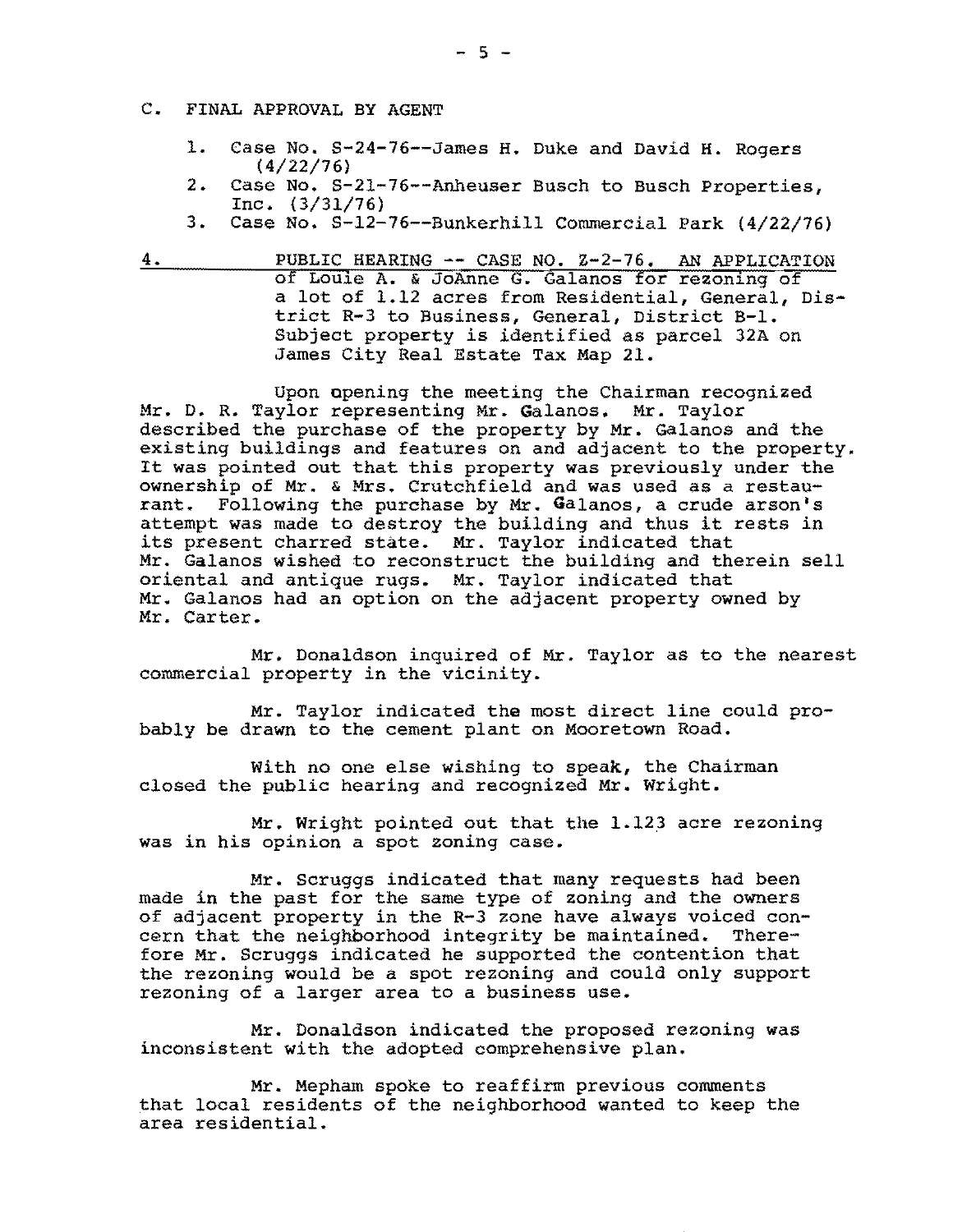- C. FINAL APPROVAL BY AGENT
	- 1. Case No. S-24-76--James H. Duke and David H. Rogers (4/22/76)
	- 2. Case No. S-21-76--Anheuser Busch to Busch Properties, Inc. (3/31/76)
	- 3. Case No. S-12-76--Bunkerhill Commercial Park (4/22/76)
- 4. PUBLIC HEARING -- CASE NO. Z-2-76. AN APPLICATION of Louie A. & JoAnne G. Galanos for rezoning of a lot of 1.12 acres from Residential, General, District R-3 to Business, General, District B-1. Subject property is identified as parcel 32A on James City Real Estate Tax Map 21.

Upon opening the meeting the Chairman recognized Mr. D. R. Taylor representing Mr. Galanos. Mr. Taylor described the purchase of the property by Mr. Galanos and the existing buildings and features on and adjacent to the property. It was pointed out that this property was previously under the ownership of Mr. & Mrs. Crutchfield and was used as a restaurant. Following the purchase by Mr. Galanos, a crude arson's attempt was made to destroy the building and thus it rests in its present charred state. Mr. Taylor indicated that Mr. Galanos wished to reconstruct the building and therein sell oriental and antique rugs. Mr. Taylor indicated that Mr. Galanos had an option on the adjacent property owned by Mr. Carter.

Mr. Donaldson inquired of Mr. Taylor as to the nearest commercial property in the vicinity.

Mr. Taylor indicated the most direct line could probably be drawn to the cement plant on Mooretown Road.

With no one else wishing to speak, the Chairman closed the public hearing and recognized Mr. Wright.

Mr. Wright pointed out that the 1.12.3 acre rezoning was in his opinion a spot zoning case.

Mr. Scruggs indicated that many requests had been made in the past for the same type of zoning and the owners of adjacent property in the R-3 zone have always voiced concern that the neighborhood integrity be maintained. Therefore Mr. Scruggs indicated he supported the contention that the rezoning would be a spot rezoning and could only support rezoning of a larger area to a business use.

Mr. Donaldson indicated the proposed rezoning was inconsistent with the adopted comprehensive plan.

Mr. Mepham spoke to reaffirm previous comments that local residents of the neighborhood wanted to keep the area residential.

 $-5 -$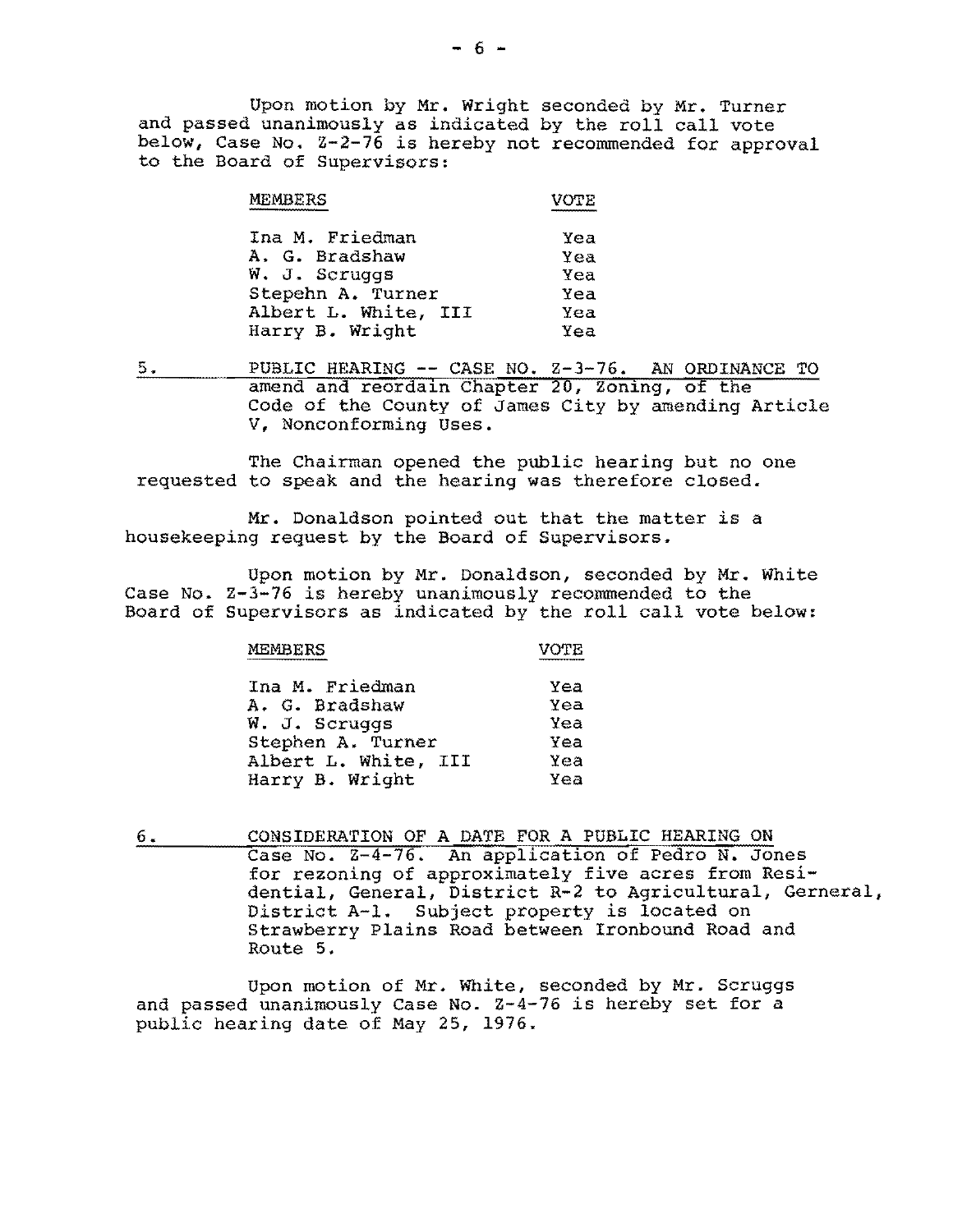Upon motion by Mr. Wright seconded by Mr. Turner and passed unanimously as indicated by the roll call vote below, Case No.  $Z-2-76$  is hereby not recommended for approval to the Board of Supervisors:

| MEMBERS              | VOTE |
|----------------------|------|
| Ina M. Friedman      | Yea  |
| A. G. Bradshaw       | Yea  |
| W. J. Scruggs        | Yea  |
| Stepehn A. Turner    | Yea  |
| Albert L. White, III | Yea  |
| Harry B. Wright      | Yea  |

5. PUBLIC HEARING **--** CASE NO. Z-3-76. AN ORDINANCE TO amend and reordain Chapter 20, Zoning, of the Code of the County of James City by amending Article V, Nonconforming Uses.

The Chairman opened the public hearing but no one requested to speak and the hearing was therefore closed.

Mr. Donaldson pointed out that the matter is a housekeeping request by the Board of Supervisors.

Upon motion by Mr. Donaldson, seconded by Mr. White Case No. Z-3-76 is hereby unanimously recommended to the Board of Supervisors as indicated by the roll call vote below:

MEMBERS **WEXT VOTE** 

| Yea |
|-----|
| Yea |
| Yea |
| Yea |
| Yea |
| Yea |
|     |

6. CONSIDERATION OF A DATE FOR A PUBLIC HEARING ON Case No. 2-4-76. An application of Pedro N. Jones for rezoning of approximately five acres from Residential, General, District R-2 to Agricultural, Gerneral, District A-l. Subject property is located on Strawberry Plains Road between Ironbound Road and Route 5.

Upon motion of Mr. White, seconded by Mr. Scruggs and passed unanimously Case No. Z-4-76 is hereby set for a public hearing date of May 25, 1976.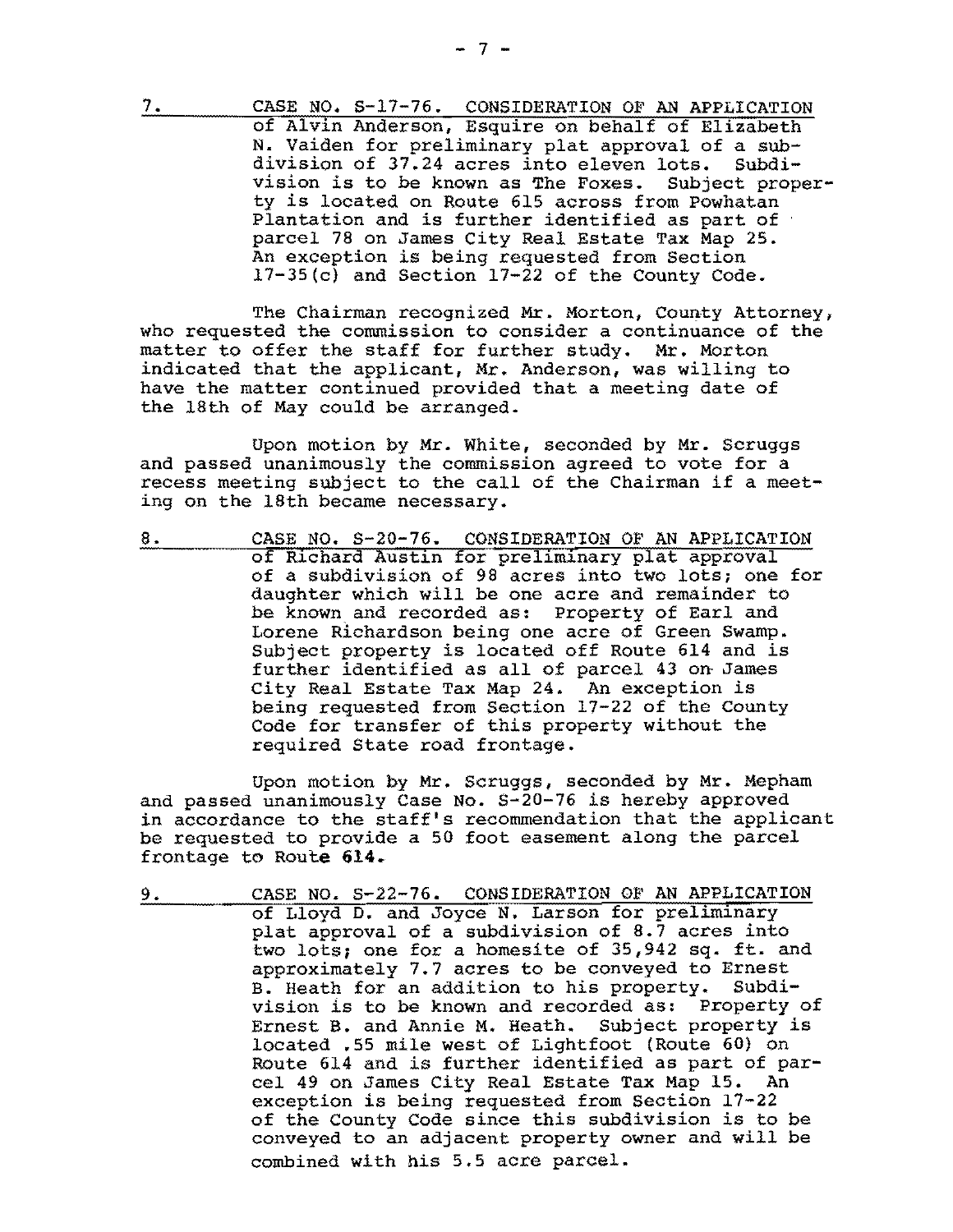7. CASE NO. S-17-76. CONSIDERATION OF AN APPLICATION of Alvin Anderson, Esquire on behalf of Elizabeth N. Vaiden for preliminary plat approval of a sub-<br>division of 37.24 acres into eleven lots. Subdidivision of 37.24 acres into eleven lots. Subdi-<br>vision is to be known as The Foxes. Subject propervision is to be known as The Foxes. ty is located on Route 615 across from Powhatan Plantation and is further identified as part of parcel 78 on James City Real Estate Tax Map 25. An exception *is* being requested from Section l7-35(c) and Section 17-22 of the County Code.

The Chairman recognized Mr. Morton, County Attorney, who requested the commission to consider a continuance of the matter to offer the staff for further study. Mr. Morton indicated that the applicant, Mr. Anderson, was willing to have the matter continued provided that a meeting date of the 18th of May could be arranged.

Upon motion by Mr. White, seconded by Mr. Scruggs and passed unanimously the commission agreed to vote for a recess meeting subject to the call of the Chairman if a meeting on the 18th became necessary.

8. CASE NO. S-20-76. CONSIDERATION OF AN APPLICATION of Richard Austin for preliminary plat approval of a subdivision of 98 acres into two lots; one for daughter which will be one acre and remainder to be known and recorded as: property of Earl and Lorene Richardson being one acre of Green Swamp. Subject property is located off Route 614 and is further identified as all of parcel 43 on· James City Real Estate Tax Map 24. An exception is being requested from Section 17-22 of the County Code for transfer of this property without the required State road frontage.

Upon motion by Mr. Scruggs, seconded by Mr. Mepham and passed unanimously Case No. S-20-76 is hereby approved in accordance to the staff's recommendation that the applicant be requested to provide a 50 foot easement along the parcel frontage to Route 614.

9. CASE NO. S-22-76. CONSIDERATION OF AN APPLICATION of Lloyd D. and Joyce N. Larson for preliminary plat approval of a subdivision of 8.7 acres into two lots; one for a homesite of 35,942 sq. ft. and approximately 7.7 acres to be conveyed to Ernest<br>B. Heath for an addition to his property. Subdi-B. Heath for an addition to his property. vision is to be known and recorded as: property of Ernest B. and Annie M. Heath. Subject property is located .55 mile west of Lightfoot (Route 60) on Route 614 and is further identified as part of parcel 49 on James City Real Estate Tax Map 15. An exception is being requested from Section 17-22 of the County Code since this subdivision is to be conveyed to an adjacent property owner and will be combined with his 5.5 acre parcel.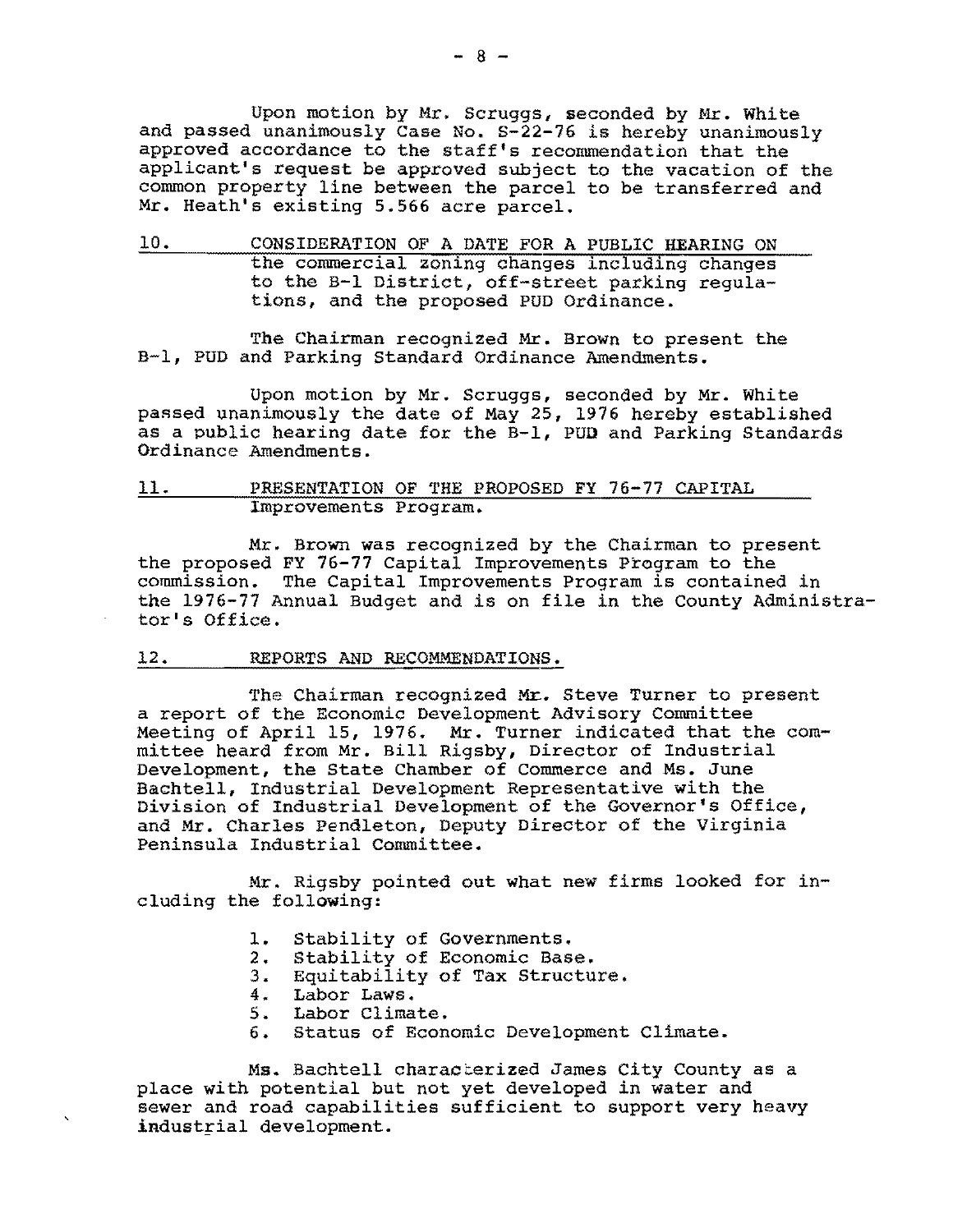Upon motion by Mr. Scruggs, seconded by Mr. White and passed unanimously Case No. S-22-76 is hereby unanimously approved accordance to the staff's recommendation that the applicant's request be approved subject to the vacation of the common property line between the parcel to be transferred and Mr. Heath's existing 5.566 acre parcel.

10. CONSIDERATION OF A DATE FOR A PUBLIC HEARING ON the commercial zoning changes including changes to the B-1 District, off-street parking regulations, and the proposed PUD Ordinance.

The Chairman recognized Mr. Brown to present the B-1, PUD and Parking Standard Ordinance Amendments.

Upon motion by Mr. Scruggs, seconded by Mr. White passed unanimously the date of May 25, 1976 hereby established as a public hearing date for the B-1, PUD and Parking Standards Ordinance Amendments.

### 11. PRESENTATION OF THE PROPOSED FY 76-77 CAPITAL Improvements Program.

Mr. Brown was recognized by the Chairman to present the proposed FY 76-77 Capital Improvements Program to the commission. The Capital Improvements Program is contained in the 1976-77 Annual Budget and is on file in the County Administrator's Office.

#### 12. REPORTS AND RECOMMENDATIONS.

The Chairman recognized Mr. Steve Turner to present a report of the Economic Development Advisory Committee meeting of April 15, 1976. Mr. Turner indicated that the committee heard from Mr. Bill Rigsby, Director of Industrial Development, the State Chamber of Commerce and Ms. June Bachtell, Industrial Development Representative with the Division of Industrial Development of the Governor's Office, and Mr. Charles Pendleton, Deputy Director of the Virginia Peninsula Industrial Committee.

Mr. Rigsby pointed out what new firms looked for including the following:

- 1. Stability of Governments.
- 2. Stability of Economic Base.
- 3. Equitability of Tax Structure.
- 4. Labor Laws.
- 5. Labor Climate.
- 6. Status of Economic Development Climate.

Ms. Bachtell characterized James City County as a place with potential but not yet developed in water and sewer and road capabilities sufficient to support very heavy industrial development.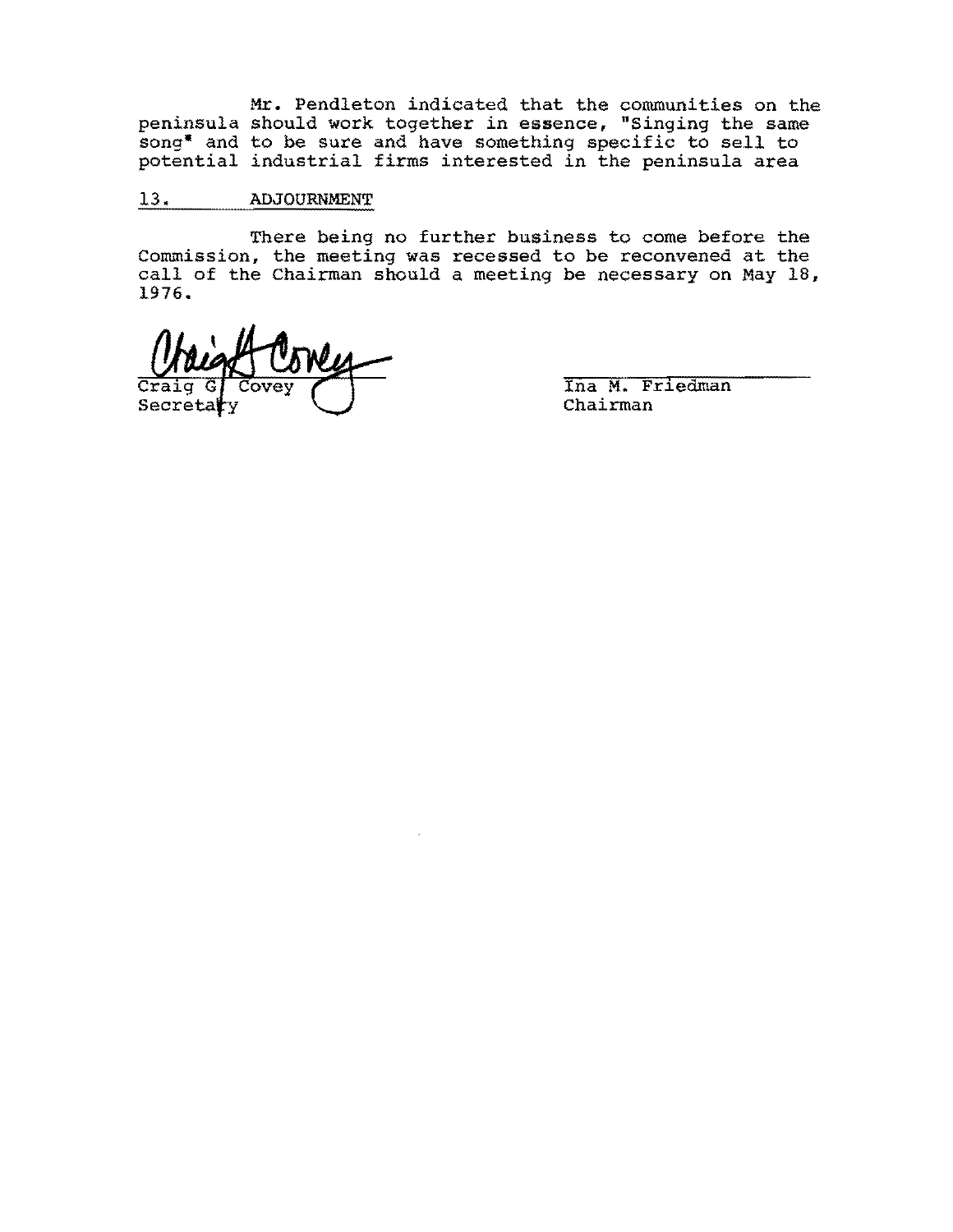**Mr.** Pendleton indicated that the communities on the peninsula should work together in essence, "Singing the same song" and to be sure and have something specific to sell to potential industrial firms interested in the peninsula area

# 13. ADJOURNMENT

There being no further business to come before the Commission, the meeting was recessed to be reconvened at the call of the Chairman should a meeting be necessary on May IB, 1976.

Secre

Ina M. Friedman Chairman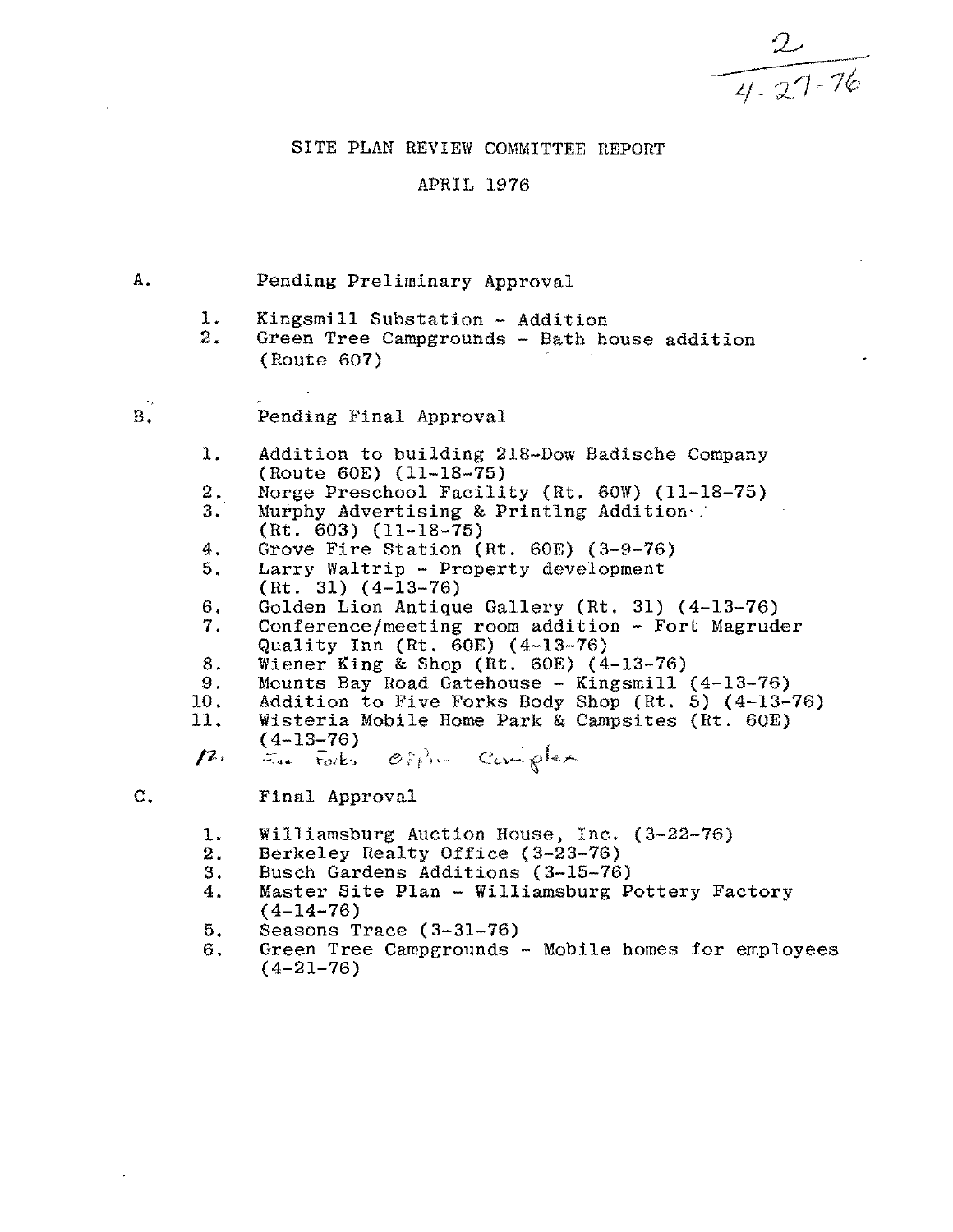$\frac{2}{4.27-76}$ 

# SITE PLAN REVIEW COMMITTEE REPORT

## APRIL 1976

# A. Pending Preliminary Approval 1. Kingsmill Substation - Addition<br>2. Green Tree Campgrounds - Bath he 2. Green Tree Campgrounds - Bath house addition (Route 607) B. Pending Final Approval 1. Addition to building 21S-Dow Badische Company (Route 60E) (11-lS-75) 2. 3. Norge Preschool Facility (Rt. 60W) (11-18-75) Murphy Advertising & Printing Addition (Rt. 603) (11-18-75) 4. Grove Fire Station (Rt. 60E) (3-9-76)<br>5. Larry Waltrip - Property development Larry Waltrip - Property development (Rt. 31) (4-13-76) 6. Golden Lion Antique Gallery (Rt. 31) (4-13-76)<br>7. Conference/meeting room addition - Fort Magrud 7. Conference/meeting room addition - Fort Magruder S. Quality Inn (Rt. 60E) (4-13-76) Wiener King & Shop (Rt. 60E) (4-13-76) 9. 10. 11. Mounts Bay Road Gatehouse - Kingsmill (4-13-76) Addition to Five Forks Body Shop (Rt. 5) (4-13-76) Wisteria Mobile Home Park & Campsites (Rt. 60E)<br>(4-13-76) *p.* (4-13-76)<br>*p. = E.e.* Forks Office Complex C. Final Approval 1. Williamsburg Auction House, Inc. (3-22-76)<br>2. Berkeley Realty Office (3-23-76) 2. Berkeley Realty Office (3-23-76)<br>3. Busch Gardens Additions (3-15-76) 3. Busch Gardens Additions (3-15-76)<br>4. Master Site Plan - Williamsburg P Master Site Plan - Williamsburg Pottery Factory (4-14-76) 5. Seasons Trace (3-31-76)<br>6. Green Tree Campgrounds 6. Green Tree Campgrounds - Mobile homes for employees  $(4-21-76)$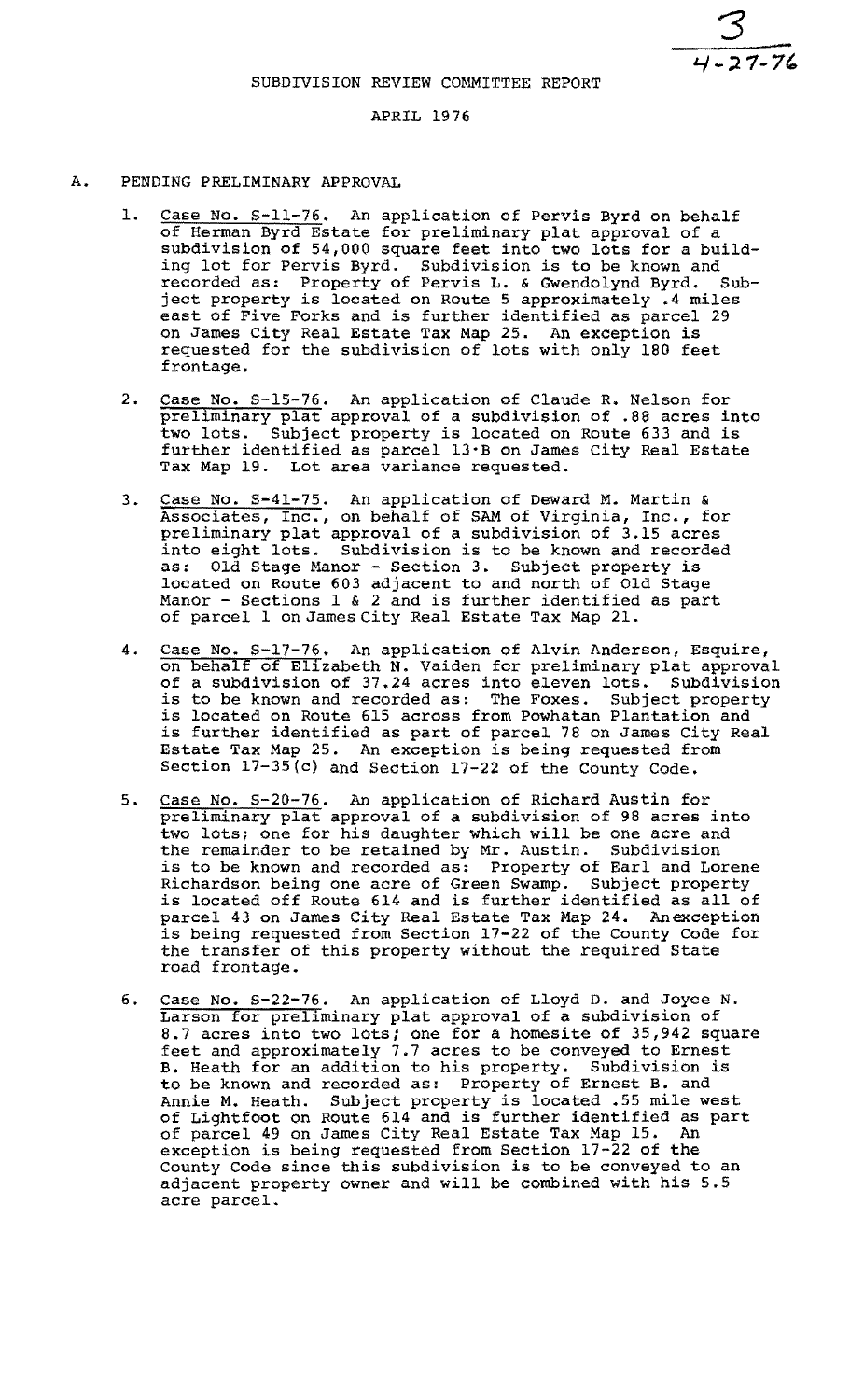$\frac{3}{1-27-76}$ 

### APRIL 1976

- A. PENDING PRELIMINARY APPROVAL
	- 1. Case No. S-11-76. An application of Pervis Byrd on behalf of Herman Byrd Estate for preliminary plat approval of a subdivision of 54,000 square feet into two lots for a building lot for Pervis Byrd. Subdivision is to be known and recorded as: Property of Pervis L. & Gwendolynd Byrd. Subject property is located on Route 5 approximately .4 miles east of Five Forks and is further identified as parcel 29 on James City Real Estate Tax Map 25. An exception is requested for the subdivision of lots with only 180 feet frontage.
	- 2. Case No. S-15-76. An application of Claude R. Nelson for preliminary plat approval of a subdivision of .88 acres into two lots. Subject property is located on Route 633 and is further identified as parcel 13'B on James city Real Estate Tax Map 19. Lot area variance requested.
	- 3. Case No. S-41-75. An application of Deward M. Martin & Associates, Inc., on behalf of SAM of Virginia, Inc., for preliminary plat approval of a subdivision of 3.15 acres into eight lots. Subdivision is to be known and recorded as: Old Stage Manor - Section 3. Subject property is located on Route 603 adjacent to and north of Old Stage Manor - Sections 1 & 2 and is further identified as part nanor beccrons I w 2 and is further ruentified<br>of parcel 1 on James City Real Estate Tax Map 21.
	- 4. Case No. S-17-76. An application of Alvin Anderson, Esquire, on behalf of Elizabeth N. Vaiden for preliminary plat approval of a subdivision of 37.24 acres into eleven lots. Subdivision is to be known and recorded as: The Foxes. Subject property is located on Route 615 across from Powhatan Plantation and is further identified as part of parcel 78 on James City Real Estate Tax Map 25. An exception is being requested from Section 17-35(c) and Section 17-22 of the County Code.
	- 5. Case No. S-20-76. An application of Richard Austin for preliminary plat approval of a subdivision of 98 acres into two lots; one for his daughter which will be one acre and the remainder to be retained by Mr. Austin. Subdivision is to be known and recorded as: property of Earl and Lorene Richardson being one acre of Green Swamp. Subject property is located off Route 614 and is further identified as all of parcel 43 on James City Real Estate Tax Map 24. An exception is being requested from Section 17-22 of the County Code for the transfer of this property without the required State road frontage.
	- 6. Case No. S-22-76. An application of Lloyd D. and Joyce N. Larson for preliminary plat approval of a subdivision of 8.7 acres into two lots; one for a homesite of 35,942 square feet and approximately 7.7 acres to be conveyed to Ernest B. Heath for an addition to his property. Subdivision is to be known and recorded as: Property of Ernest B. and Annie M. Heath. Subject property is located .55 mile west of Lightfoot on Route 614 and is further identified as part of parcel 49 on James City Real Estate Tax Map 15. An exception is being requested from Section 17-22 of the County Code since this subdivision is to be conveyed to an adjacent property owner and will be combined with his 5.5 acre parcel.